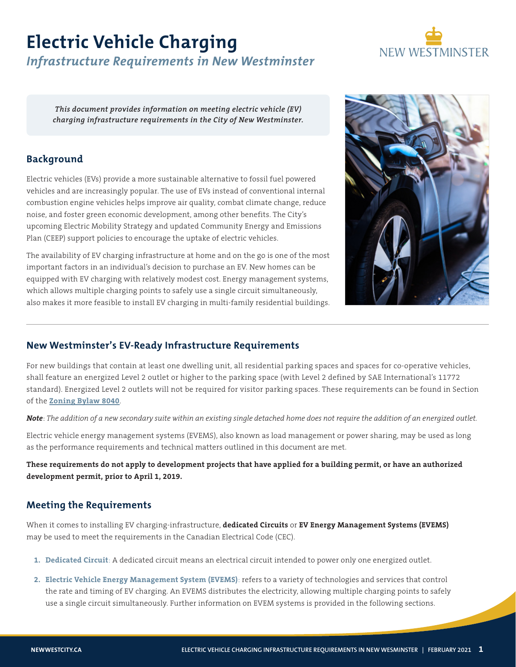# **Electric Vehicle Charging**



## *Infrastructure Requirements in New Westminster*

*This document provides information on meeting electric vehicle (EV) charging infrastructure requirements in the City of New Westminster.* 

## **Background**

Electric vehicles (EVs) provide a more sustainable alternative to fossil fuel powered vehicles and are increasingly popular. The use of EVs instead of conventional internal combustion engine vehicles helps improve air quality, combat climate change, reduce noise, and foster green economic development, among other benefits. The City's upcoming Electric Mobility Strategy and updated Community Energy and Emissions Plan (CEEP) support policies to encourage the uptake of electric vehicles.

The availability of EV charging infrastructure at home and on the go is one of the most important factors in an individual's decision to purchase an EV. New homes can be equipped with EV charging with relatively modest cost. Energy management systems, which allows multiple charging points to safely use a single circuit simultaneously, also makes it more feasible to install EV charging in multi-family residential buildings.



## **New Westminster's EV-Ready Infrastructure Requirements**

For new buildings that contain at least one dwelling unit, all residential parking spaces and spaces for co-operative vehicles, shall feature an energized Level 2 outlet or higher to the parking space (with Level 2 defined by SAE International's 11772 standard). Energized Level 2 outlets will not be required for visitor parking spaces. These requirements can be found in Section of the **[Zoning Bylaw 8040](https://www.newwestcity.ca/database/files/library/100_Introduction(15).pdf)**.

*Note*: *The addition of a new secondary suite within an existing single detached home does not require the addition of an energized outlet.* 

Electric vehicle energy management systems (EVEMS), also known as load management or power sharing, may be used as long as the performance requirements and technical matters outlined in this document are met.

**These requirements do not apply to development projects that have applied for a building permit, or have an authorized development permit, prior to April 1, 2019.** 

## **Meeting the Requirements**

When it comes to installing EV charging-infrastructure, **dedicated Circuits** or **EV Energy Management Systems (EVEMS)** may be used to meet the requirements in the Canadian Electrical Code (CEC).

- **1. Dedicated Circuit**: A dedicated circuit means an electrical circuit intended to power only one energized outlet.
- **2. Electric Vehicle Energy Management System (EVEMS)**: refers to a variety of technologies and services that control the rate and timing of EV charging. An EVEMS distributes the electricity, allowing multiple charging points to safely use a single circuit simultaneously. Further information on EVEM systems is provided in the following sections.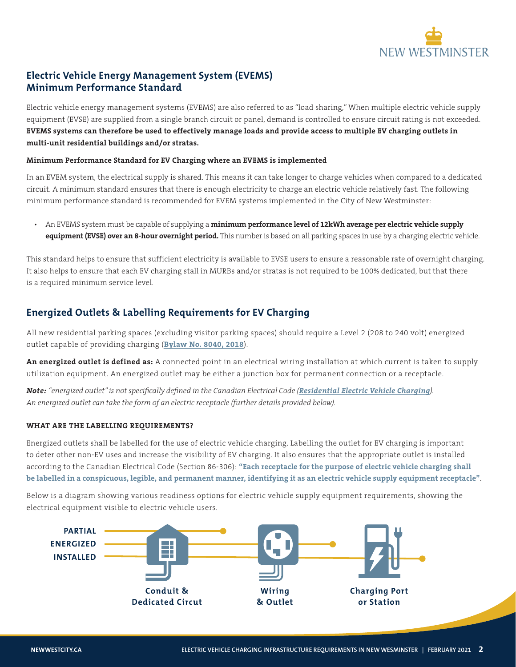

## **Electric Vehicle Energy Management System (EVEMS) Minimum Performance Standard**

Electric vehicle energy management systems (EVEMS) are also referred to as "load sharing," When multiple electric vehicle supply equipment (EVSE) are supplied from a single branch circuit or panel, demand is controlled to ensure circuit rating is not exceeded. **EVEMS systems can therefore be used to effectively manage loads and provide access to multiple EV charging outlets in multi-unit residential buildings and/or stratas.** 

#### **Minimum Performance Standard for EV Charging where an EVEMS is implemented**

In an EVEM system, the electrical supply is shared. This means it can take longer to charge vehicles when compared to a dedicated circuit. A minimum standard ensures that there is enough electricity to charge an electric vehicle relatively fast. The following minimum performance standard is recommended for EVEM systems implemented in the City of New Westminster:

• An EVEMS system must be capable of supplying a **minimum performance level of 12kWh average per electric vehicle supply equipment (EVSE) over an 8-hour overnight period.** This number is based on all parking spaces in use by a charging electric vehicle.

This standard helps to ensure that sufficient electricity is available to EVSE users to ensure a reasonable rate of overnight charging. It also helps to ensure that each EV charging stall in MURBs and/or stratas is not required to be 100% dedicated, but that there is a required minimum service level.

## **Energized Outlets & Labelling Requirements for EV Charging**

All new residential parking spaces (excluding visitor parking spaces) should require a Level 2 (208 to 240 volt) energized outlet capable of providing charging (**[Bylaw No. 8040, 2018](https://www.newwestcity.ca/database/files/library/Electric_Vehicles_OCP___WEB_Public_Hearing_Information_Package.pdf)**).

**An energized outlet is defined as:** A connected point in an electrical wiring installation at which current is taken to supply utilization equipment. An energized outlet may be either a junction box for permanent connection or a receptacle.

*Note: "energized outlet" is not specifically defined in the Canadian Electrical Code ([Residential Electric Vehicle Charging](https://pluginbc.ca/wp/wp-content/uploads/2018/10/Residential-EV-Charging-A-Guide-for-Local-Governments.pdf)). An energized outlet can take the form of an electric receptacle (further details provided below).* 

#### **WHAT ARE THE LABELLING REQUIREMENTS?**

Energized outlets shall be labelled for the use of electric vehicle charging. Labelling the outlet for EV charging is important to deter other non-EV uses and increase the visibility of EV charging. It also ensures that the appropriate outlet is installed according to the Canadian Electrical Code (Section 86-306): **"Each receptacle for the purpose of electric vehicle charging shall be labelled in a conspicuous, legible, and permanent manner, identifying it as an electric vehicle supply equipment receptacle"**.

Below is a diagram showing various readiness options for electric vehicle supply equipment requirements, showing the electrical equipment visible to electric vehicle users.

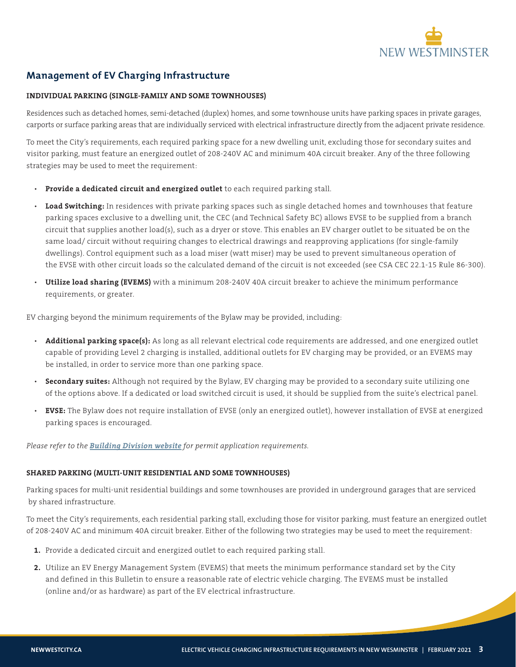

## **Management of EV Charging Infrastructure**

#### **INDIVIDUAL PARKING (SINGLE-FAMILY AND SOME TOWNHOUSES)**

Residences such as detached homes, semi-detached (duplex) homes, and some townhouse units have parking spaces in private garages, carports or surface parking areas that are individually serviced with electrical infrastructure directly from the adjacent private residence.

To meet the City's requirements, each required parking space for a new dwelling unit, excluding those for secondary suites and visitor parking, must feature an energized outlet of 208-240V AC and minimum 40A circuit breaker. Any of the three following strategies may be used to meet the requirement:

- **Provide a dedicated circuit and energized outlet** to each required parking stall.
- **Load Switching:** In residences with private parking spaces such as single detached homes and townhouses that feature parking spaces exclusive to a dwelling unit, the CEC (and Technical Safety BC) allows EVSE to be supplied from a branch circuit that supplies another load(s), such as a dryer or stove. This enables an EV charger outlet to be situated be on the same load/ circuit without requiring changes to electrical drawings and reapproving applications (for single-family dwellings). Control equipment such as a load miser (watt miser) may be used to prevent simultaneous operation of the EVSE with other circuit loads so the calculated demand of the circuit is not exceeded (see CSA CEC 22.1-15 Rule 86-300).
- **Utilize load sharing (EVEMS)** with a minimum 208-240V 40A circuit breaker to achieve the minimum performance requirements, or greater.

EV charging beyond the minimum requirements of the Bylaw may be provided, including:

- **Additional parking space(s):** As long as all relevant electrical code requirements are addressed, and one energized outlet capable of providing Level 2 charging is installed, additional outlets for EV charging may be provided, or an EVEMS may be installed, in order to service more than one parking space.
- **Secondary suites:** Although not required by the Bylaw, EV charging may be provided to a secondary suite utilizing one of the options above. If a dedicated or load switched circuit is used, it should be supplied from the suite's electrical panel.
- **EVSE:** The Bylaw does not require installation of EVSE (only an energized outlet), however installation of EVSE at energized parking spaces is encouraged.

*Please refer to the [Building Division website](https://www.newwestcity.ca/building-permits) for permit application requirements.* 

#### **SHARED PARKING (MULTI-UNIT RESIDENTIAL AND SOME TOWNHOUSES)**

Parking spaces for multi-unit residential buildings and some townhouses are provided in underground garages that are serviced by shared infrastructure.

To meet the City's requirements, each residential parking stall, excluding those for visitor parking, must feature an energized outlet of 208-240V AC and minimum 40A circuit breaker. Either of the following two strategies may be used to meet the requirement:

- **1.** Provide a dedicated circuit and energized outlet to each required parking stall.
- **2.** Utilize an EV Energy Management System (EVEMS) that meets the minimum performance standard set by the City and defined in this Bulletin to ensure a reasonable rate of electric vehicle charging. The EVEMS must be installed (online and/or as hardware) as part of the EV electrical infrastructure.